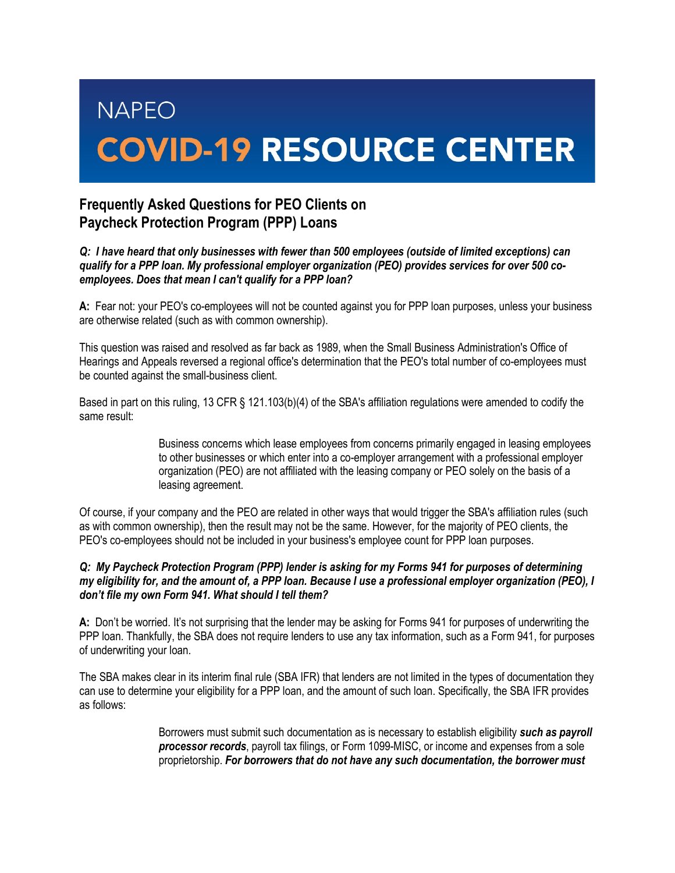# **NAPEO COVID-19 RESOURCE CENTER**

## **Frequently Asked Questions for PEO Clients on Paycheck Protection Program (PPP) Loans**

### *Q: I have heard that only businesses with fewer than 500 employees (outside of limited exceptions) can qualify for a PPP loan. My professional employer organization (PEO) provides services for over 500 coemployees. Does that mean I can't qualify for a PPP loan?*

**A:** Fear not: your PEO's co-employees will not be counted against you for PPP loan purposes, unless your business are otherwise related (such as with common ownership).

This question was raised and resolved as far back as 1989, when the Small Business Administration's Office of Hearings and Appeals reversed a regional office's determination that the PEO's total number of co-employees must be counted against the small-business client.

Based in part on this ruling, 13 CFR § 121.103(b)(4) of the SBA's affiliation regulations were amended to codify the same result:

> Business concerns which lease employees from concerns primarily engaged in leasing employees to other businesses or which enter into a co-employer arrangement with a professional employer organization (PEO) are not affiliated with the leasing company or PEO solely on the basis of a leasing agreement.

Of course, if your company and the PEO are related in other ways that would trigger the SBA's affiliation rules (such as with common ownership), then the result may not be the same. However, for the majority of PEO clients, the PEO's co-employees should not be included in your business's employee count for PPP loan purposes.

#### *Q: My Paycheck Protection Program (PPP) lender is asking for my Forms 941 for purposes of determining my eligibility for, and the amount of, a PPP loan. Because I use a professional employer organization (PEO), I don't file my own Form 941. What should I tell them?*

**A:** Don't be worried. It's not surprising that the lender may be asking for Forms 941 for purposes of underwriting the PPP loan. Thankfully, the SBA does not require lenders to use any tax information, such as a Form 941, for purposes of underwriting your loan.

The SBA makes clear in its interim final rule (SBA IFR) that lenders are not limited in the types of documentation they can use to determine your eligibility for a PPP loan, and the amount of such loan. Specifically, the SBA IFR provides as follows:

> Borrowers must submit such documentation as is necessary to establish eligibility *such as payroll processor records*, payroll tax filings, or Form 1099-MISC, or income and expenses from a sole proprietorship. *For borrowers that do not have any such documentation, the borrower must*